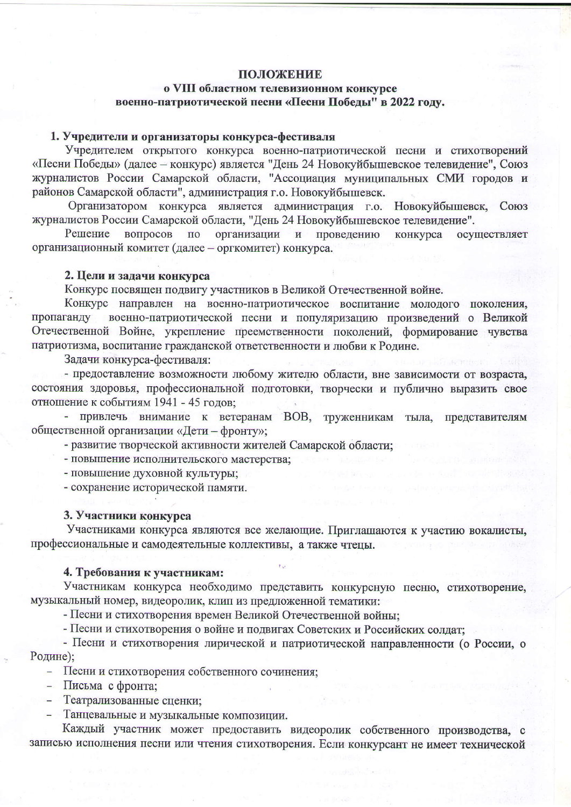# ПОЛОЖЕНИЕ

# о VIII областном телевизионном конкурсе военно-патриотической песни «Песни Победы" в 2022 году.

# 1. Учредители и организаторы конкурса-фестиваля

Учредителем открытого конкурса военно-патриотической песни и стихотворений «Песни Победы» (далее - конкурс) является "День 24 Новокуйбышевское телевидение", Союз журналистов России Самарской области, "Ассоциация муниципальных СМИ городов и районов Самарской области", администрация г.о. Новокуйбышевск.

Организатором конкурса является администрация г.о. Новокуйбышевск, Союз журналистов России Самарской области, "День 24 Новокуйбышевское телевидение".

вопросов организации и проведению Решение  $\Pi$ <sup>O</sup> конкурса осуществляет организационный комитет (далее - оргкомитет) конкурса.

#### 2. Цели и задачи конкурса

Конкурс посвящен подвигу участников в Великой Отечественной войне.

Конкурс направлен на военно-патриотическое воспитание молодого поколения, пропаганду военно-патриотической песни и популяризацию произведений о Великой Отечественной Войне, укрепление преемственности поколений, формирование чувства патриотизма, воспитание гражданской ответственности и любви к Родине.

Задачи конкурса-фестиваля:

- предоставление возможности любому жителю области, вне зависимости от возраста, состояния здоровья, профессиональной подготовки, творчески и публично выразить свое отношение к событиям 1941 - 45 годов;

- привлечь внимание к ветеранам ВОВ, труженникам тыла, представителям общественной организации «Дети - фронту»;

- развитие творческой активности жителей Самарской области;

- повышение исполнительского мастерства;

- повышение духовной культуры;

- сохранение исторической памяти.

#### 3. Участники конкурса

Участниками конкурса являются все желающие. Приглашаются к участию вокалисты, профессиональные и самодеятельные коллективы, а также чтецы.

## 4. Требования к участникам:

Участникам конкурса необходимо представить конкурсную песню, стихотворение, музыкальный номер, видеоролик, клип из предложенной тематики:

- Песни и стихотворения времен Великой Отечественной войны:

- Песни и стихотворения о войне и подвигах Советских и Российских солдат;

- Песни и стихотворения лирической и патриотической направленности (о России, о Родине);

- Песни и стихотворения собственного сочинения;

- Письма с фронта;
- Театрализованные сценки;
- Танцевальные и музыкальные композиции.

Каждый участник может предоставить видеоролик собственного производства, с записью исполнения песни или чтения стихотворения. Если конкурсант не имеет технической